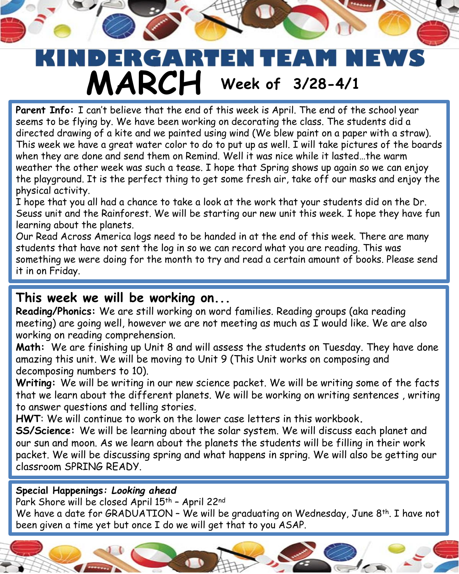## E AN REFL E and the **MARCH Week of 3/28-4/1**

**Parent Info:** I can't believe that the end of this week is April. The end of the school year seems to be flying by. We have been working on decorating the class. The students did a directed drawing of a kite and we painted using wind (We blew paint on a paper with a straw). This week we have a great water color to do to put up as well. I will take pictures of the boards when they are done and send them on Remind. Well it was nice while it lasted…the warm weather the other week was such a tease. I hope that Spring shows up again so we can enjoy the playground. It is the perfect thing to get some fresh air, take off our masks and enjoy the physical activity.

I hope that you all had a chance to take a look at the work that your students did on the Dr. Seuss unit and the Rainforest. We will be starting our new unit this week. I hope they have fun learning about the planets.

Our Read Across America logs need to be handed in at the end of this week. There are many students that have not sent the log in so we can record what you are reading. This was something we were doing for the month to try and read a certain amount of books. Please send it in on Friday.

## **This week we will be working on...**

**Reading/Phonics:** We are still working on word families. Reading groups (aka reading meeting) are going well, however we are not meeting as much as I would like. We are also working on reading comprehension.

**Math:** We are finishing up Unit 8 and will assess the students on Tuesday. They have done amazing this unit. We will be moving to Unit 9 (This Unit works on composing and decomposing numbers to 10).

**Writing:** We will be writing in our new science packet. We will be writing some of the facts that we learn about the different planets. We will be working on writing sentences , writing to answer questions and telling stories.

**HWT**: We will continue to work on the lower case letters in this workbook**.**

**SS/Science:** We will be learning about the solar system. We will discuss each planet and our sun and moon. As we learn about the planets the students will be filling in their work packet. We will be discussing spring and what happens in spring. We will also be getting our classroom SPRING READY.

## **Special Happenings***: Looking ahead*

Park Shore will be closed April 15<sup>th</sup> - April 22<sup>nd</sup>

We have a date for GRADUATION - We will be graduating on Wednesday, June 8<sup>th</sup>. I have not been given a time yet but once I do we will get that to you ASAP.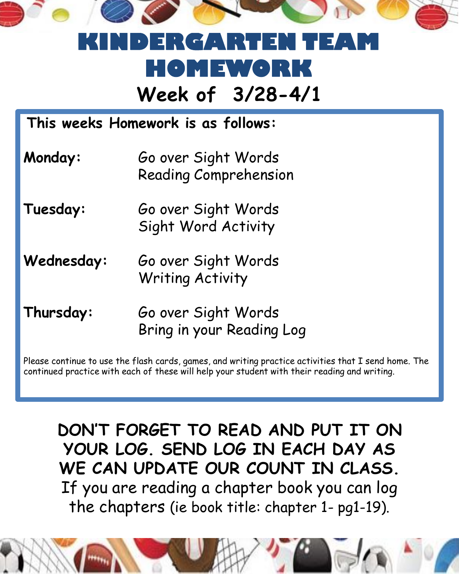

## **Week of 3/28-4/1 KINDERGARTEN TEAM HOMEWORK**

**This weeks Homework is as follows:**

- **Monday:** Go over Sight Words Reading Comprehension
- Tuesday: **Go over Sight Words** Sight Word Activity
- Wednesday: Go over Sight Words Writing Activity
- **Thursday:** Go over Sight Words Bring in your Reading Log

Please continue to use the flash cards, games, and writing practice activities that I send home. The continued practice with each of these will help your student with their reading and writing.

**DON'T FORGET TO READ AND PUT IT ON YOUR LOG. SEND LOG IN EACH DAY AS WE CAN UPDATE OUR COUNT IN CLASS.**  If you are reading a chapter book you can log the chapters (ie book title: chapter 1- pg1-19).